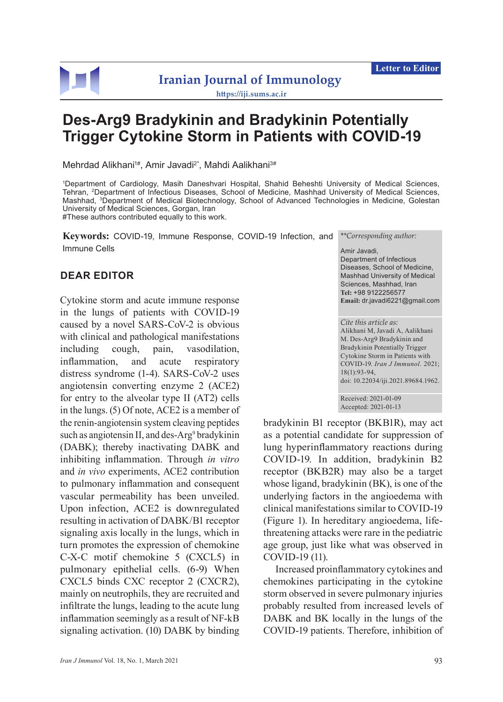

## **Iranian Journal of Immunology <https://iji.sums.ac.ir>**

# **Des-Arg9 Bradykinin and Bradykinin Potentially Trigger Cytokine Storm in Patients with COVID-19**

Mehrdad Alikhani<sup>1#</sup>, Amir Javadi<sup>2\*</sup>, Mahdi Aalikhani<sup>3#</sup>

1 Department of Cardiology, Masih Daneshvari Hospital, Shahid Beheshti University of Medical Sciences, Tehran, 2Department of Infectious Diseases, School of Medicine, Mashhad University of Medical Sciences, Mashhad, 3Department of Medical Biotechnology, School of Advanced Technologies in Medicine, Golestan University of Medical Sciences, Gorgan, Iran #These authors contributed equally to this work.

**Keywords:** COVID-19, Immune Response, COVID-19 Infection, and Immune Cells

### **DEAR EDITOR**

Cytokine storm and acute immune response in the lungs of patients with COVID-19 caused by a novel SARS-CoV-2 is obvious with clinical and pathological manifestations including cough, pain, vasodilation, inflammation, and acute respiratory distress syndrome (1-4). SARS-CoV-2 uses angiotensin converting enzyme 2 (ACE2) for entry to the alveolar type II (AT2) cells in the lungs. (5) Of note, ACE2 is a member of the renin-angiotensin system cleaving peptides such as angiotensin II, and des-Arg<sup>9</sup> bradykinin (DABK); thereby inactivating DABK and inhibiting inflammation. Through *in vitro* and *in vivo* experiments, ACE2 contribution to pulmonary inflammation and consequent vascular permeability has been unveiled. Upon infection, ACE2 is downregulated resulting in activation of DABK/B1 receptor signaling axis locally in the lungs, which in turn promotes the expression of chemokine C-X-C motif chemokine 5 (CXCL5) in pulmonary epithelial cells. (6-9) When CXCL5 binds CXC receptor 2 (CXCR2), mainly on neutrophils, they are recruited and infiltrate the lungs, leading to the acute lung inflammation seemingly as a result of NF-kB signaling activation. (10) DABK by binding *\*\*Corresponding author:*

#### Amir Javadi, Department of Infectious Diseases, School of Medicine, Mashhad University of Medical Sciences, Mashhad, Iran **Tel:** +98 9122256577 **Email:** dr.javadi6221@gmail.com

*Cite this article as:* Alikhani M, Javadi A, Aalikhani M. Des-Arg9 Bradykinin and Bradykinin Potentially Trigger Cytokine Storm in Patients with COVID-19. *Iran J Immunol.* 2021; 18(1):93-94, doi: 10.22034/iji.2021.89684.1962.

Received: 2021-01-09 Accepted: 2021-01-13

bradykinin B1 receptor (BKB1R), may act as a potential candidate for suppression of lung hyperinflammatory reactions during COVID-19. In addition, bradykinin B2 receptor (BKB2R) may also be a target whose ligand, bradykinin (BK), is one of the underlying factors in the angioedema with clinical manifestations similar to COVID-19 (Figure 1). In hereditary angioedema, lifethreatening attacks were rare in the pediatric age group, just like what was observed in COVID-19 (11).

Increased proinflammatory cytokines and chemokines participating in the cytokine storm observed in severe pulmonary injuries probably resulted from increased levels of DABK and BK locally in the lungs of the COVID-19 patients. Therefore, inhibition of